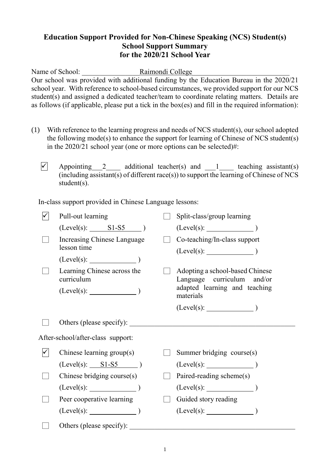## **Education Support Provided for Non-Chinese Speaking (NCS) Student(s) School Support Summary for the 2020/21 School Year**

Name of School: <br> Raimondi College Our school was provided with additional funding by the Education Bureau in the 2020/21 school year. With reference to school-based circumstances, we provided support for our NCS student(s) and assigned a dedicated teacher/team to coordinate relating matters. Details are as follows (if applicable, please put a tick in the box(es) and fill in the required information):

- (1) With reference to the learning progress and needs of NCS student(s), our school adopted the following mode(s) to enhance the support for learning of Chinese of NCS student(s) in the 2020/21 school year (one or more options can be selected)#:
	- $\sqrt{ }$  Appointing 2 additional teacher(s) and 1 teaching assistant(s)  $(i\text{including assistant(s)}$  of different race(s)) to support the learning of Chinese of NCS student(s).

In-class support provided in Chinese Language lessons:

| Pull-out learning                          |  | Split-class/group learning                                    |  |  |  |
|--------------------------------------------|--|---------------------------------------------------------------|--|--|--|
| $(Level(s):$ $SI- S5$ )                    |  | (Level(s):                                                    |  |  |  |
| Increasing Chinese Language<br>lesson time |  | Co-teaching/In-class support<br>(Level(s):                    |  |  |  |
| $(Level(s):$ $)$                           |  |                                                               |  |  |  |
| Learning Chinese across the<br>curriculum  |  | Adopting a school-based Chinese<br>Language curriculum and/or |  |  |  |
| $(Level(s):$ $)$                           |  | adapted learning and teaching<br>materials                    |  |  |  |
|                                            |  |                                                               |  |  |  |
| Others (please specify):                   |  |                                                               |  |  |  |
| After-school/after-class support:          |  |                                                               |  |  |  |
| Chinese learning group(s)                  |  | Summer bridging course(s)                                     |  |  |  |
| $(Level(s):$ S1-S5 $)$                     |  | (Level(s):                                                    |  |  |  |
| Chinese bridging course(s)                 |  | Paired-reading scheme(s)                                      |  |  |  |
| $(Level(s):$ $)$                           |  | $(Level(s):$ $)$                                              |  |  |  |
| Peer cooperative learning                  |  | Guided story reading                                          |  |  |  |
| $(Level(s):$ (Level(s):                    |  |                                                               |  |  |  |
| Others (please specify):                   |  |                                                               |  |  |  |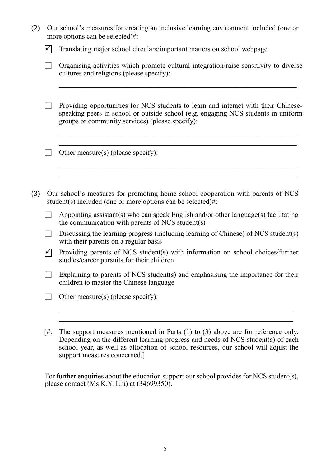| (2) |                                    | Our school's measures for creating an inclusive learning environment included (one or<br>more options can be selected)#:                                                                                                   |  |  |  |  |
|-----|------------------------------------|----------------------------------------------------------------------------------------------------------------------------------------------------------------------------------------------------------------------------|--|--|--|--|
|     |                                    | Translating major school circulars/important matters on school webpage                                                                                                                                                     |  |  |  |  |
|     |                                    | Organising activities which promote cultural integration/raise sensitivity to diverse<br>cultures and religions (please specify):                                                                                          |  |  |  |  |
|     |                                    | Providing opportunities for NCS students to learn and interact with their Chinese-<br>speaking peers in school or outside school (e.g. engaging NCS students in uniform<br>groups or community services) (please specify): |  |  |  |  |
|     | Other measure(s) (please specify): |                                                                                                                                                                                                                            |  |  |  |  |
| (3) |                                    | Our school's measures for promoting home-school cooperation with parents of NCS<br>student(s) included (one or more options can be selected)#:                                                                             |  |  |  |  |
|     |                                    | Appointing assistant(s) who can speak English and/or other language(s) facilitating<br>the communication with parents of NCS student(s)                                                                                    |  |  |  |  |
|     |                                    | Discussing the learning progress (including learning of Chinese) of NCS student(s)<br>with their parents on a regular basis                                                                                                |  |  |  |  |
|     | $\checkmark$                       | Providing parents of NCS student(s) with information on school choices/further<br>studies/career pursuits for their children                                                                                               |  |  |  |  |
|     |                                    | Explaining to parents of NCS student(s) and emphasising the importance for their<br>children to master the Chinese language                                                                                                |  |  |  |  |
|     |                                    | Other measure(s) (please specify):                                                                                                                                                                                         |  |  |  |  |
|     |                                    |                                                                                                                                                                                                                            |  |  |  |  |
|     | [#:                                | The support measures mentioned in Parts $(1)$ to $(3)$ above are for reference only.                                                                                                                                       |  |  |  |  |

Depending on the different learning progress and needs of NCS student(s) of each school year, as well as allocation of school resources, our school will adjust the support measures concerned.]

For further enquiries about the education support our school provides for NCS student(s), please contact  $(Ms K.Y. Liu)$  at  $(34699350)$ .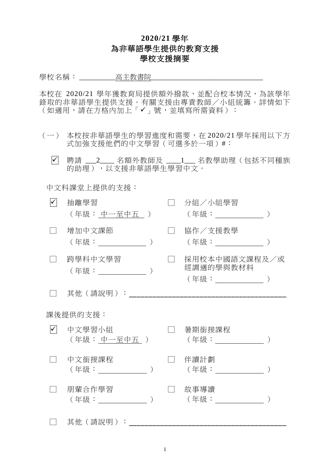## **2020/21** 學年 為非華語學生提供的教育支援 學校支援摘要

學校名稱: \_\_\_\_\_\_\_\_\_\_高主教書院\_\_\_\_\_\_\_\_\_\_\_\_\_\_\_\_\_\_\_\_\_\_\_\_\_\_\_\_\_\_\_

本校在 2020/21 學年獲教育局提供額外撥款,並配合校本情況,為該學年 錄取的非華語學生提供支援。有關支援由專責教師/小組統籌。詳情如下 (如適用,請在方格內加上「✔」號,並填寫所需資料):

- (一) 本校按非華語學生的學習進度和需要,在 2020/21 學年採用以下方 式加強支援他們的中文學習(可選多於一項)#:
	- . 聘請 \_\_\_2\_\_\_\_ 名額外教師及 \_\_\_\_1\_\_\_ 名教學助理(包括不同種族 的助理),以支援非華語學生學習中文。

中文科課堂上提供的支援:

| 抽離學習<br>(年級: 中一至中五 )         |  | 分組/小組學習<br>(年級: _________                        |  |  |  |  |
|------------------------------|--|--------------------------------------------------|--|--|--|--|
| 增加中文課節                       |  | 協作/支援教學<br>(年級: ) (1)                            |  |  |  |  |
| 跨學科中文學習                      |  | 採用校本中國語文課程及/或<br>經調適的學與教材料<br>(年級:_____________) |  |  |  |  |
| 其他(請說明):                     |  |                                                  |  |  |  |  |
| 課後提供的支援:                     |  |                                                  |  |  |  |  |
| 中文學習小組<br>(年級: 中一至中五 )       |  | 暑期銜接課程                                           |  |  |  |  |
| 中文銜接課程<br>(年級: ) ろんじょう うんじょう |  | 伴讀計劃<br>(年級:                                     |  |  |  |  |
| 朋輩合作學習<br>(年級: )             |  | 故事導讀                                             |  |  |  |  |
| 其他 (請說明):                    |  |                                                  |  |  |  |  |